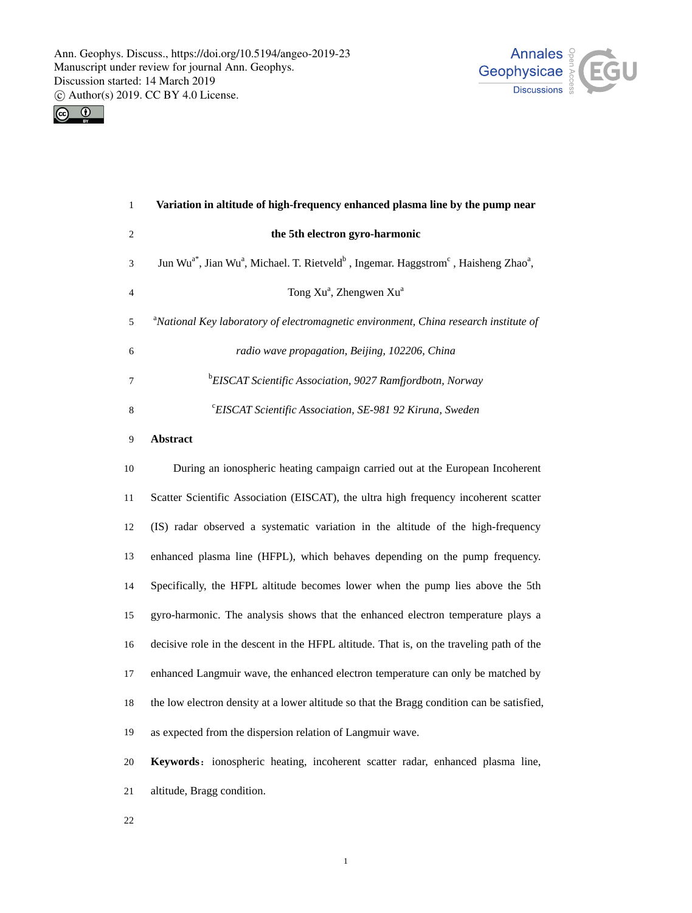



| $\mathbf{1}$   | Variation in altitude of high-frequency enhanced plasma line by the pump near                                                                    |
|----------------|--------------------------------------------------------------------------------------------------------------------------------------------------|
| $\sqrt{2}$     | the 5th electron gyro-harmonic                                                                                                                   |
| 3              | Jun Wu <sup>a*</sup> , Jian Wu <sup>a</sup> , Michael. T. Rietveld <sup>b</sup> , Ingemar. Haggstrom <sup>c</sup> , Haisheng Zhao <sup>a</sup> , |
| $\overline{4}$ | Tong Xu <sup>a</sup> , Zhengwen Xu <sup>a</sup>                                                                                                  |
| 5              | <sup>a</sup> National Key laboratory of electromagnetic environment, China research institute of                                                 |
| 6              | radio wave propagation, Beijing, 102206, China                                                                                                   |
| 7              | <sup>b</sup> EISCAT Scientific Association, 9027 Ramfjordbotn, Norway                                                                            |
| $\,8\,$        | <sup>c</sup> EISCAT Scientific Association, SE-981 92 Kiruna, Sweden                                                                             |
| 9              | Abstract                                                                                                                                         |
| 10             | During an ionospheric heating campaign carried out at the European Incoherent                                                                    |
| 11             | Scatter Scientific Association (EISCAT), the ultra high frequency incoherent scatter                                                             |
| 12             | (IS) radar observed a systematic variation in the altitude of the high-frequency                                                                 |
| 13             | enhanced plasma line (HFPL), which behaves depending on the pump frequency.                                                                      |
| 14             | Specifically, the HFPL altitude becomes lower when the pump lies above the 5th                                                                   |
| 15             | gyro-harmonic. The analysis shows that the enhanced electron temperature plays a                                                                 |
| 16             | decisive role in the descent in the HFPL altitude. That is, on the traveling path of the                                                         |
| 17             | enhanced Langmuir wave, the enhanced electron temperature can only be matched by                                                                 |
| 18             | the low electron density at a lower altitude so that the Bragg condition can be satisfied,                                                       |
| 19             | as expected from the dispersion relation of Langmuir wave.                                                                                       |
| 20             | Keywords: ionospheric heating, incoherent scatter radar, enhanced plasma line,                                                                   |
| 21             | altitude, Bragg condition.                                                                                                                       |
| 22             |                                                                                                                                                  |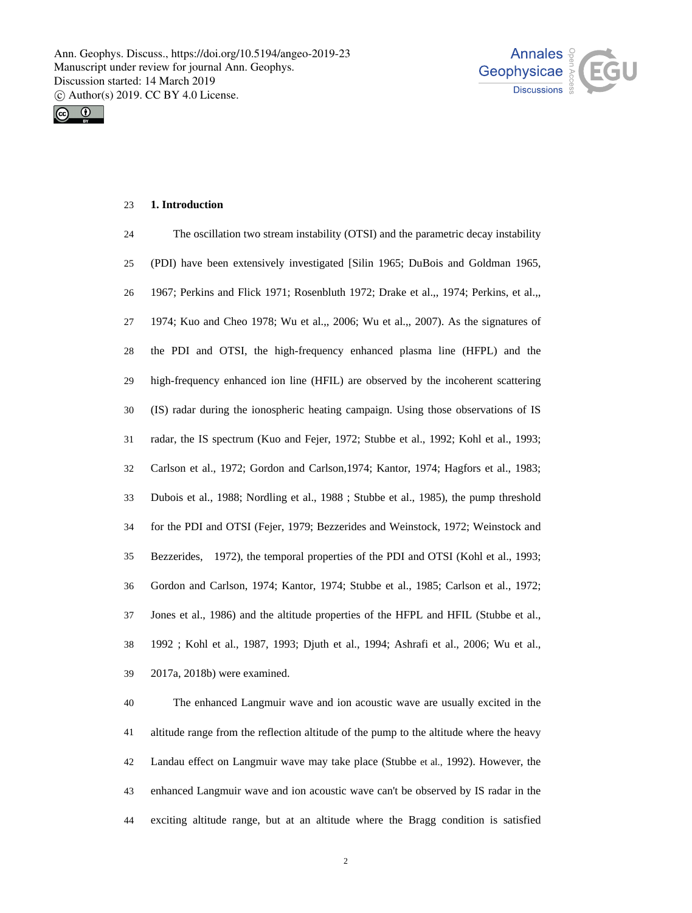



# 23 **1. Introduction**

| 24 | The oscillation two stream instability (OTSI) and the parametric decay instability    |
|----|---------------------------------------------------------------------------------------|
| 25 | (PDI) have been extensively investigated [Silin 1965; DuBois and Goldman 1965,        |
| 26 | 1967; Perkins and Flick 1971; Rosenbluth 1972; Drake et al.,, 1974; Perkins, et al.,, |
| 27 | 1974; Kuo and Cheo 1978; Wu et al.,, 2006; Wu et al.,, 2007). As the signatures of    |
| 28 | the PDI and OTSI, the high-frequency enhanced plasma line (HFPL) and the              |
| 29 | high-frequency enhanced ion line (HFIL) are observed by the incoherent scattering     |
| 30 | (IS) radar during the ionospheric heating campaign. Using those observations of IS    |
| 31 | radar, the IS spectrum (Kuo and Fejer, 1972; Stubbe et al., 1992; Kohl et al., 1993;  |
| 32 | Carlson et al., 1972; Gordon and Carlson, 1974; Kantor, 1974; Hagfors et al., 1983;   |
| 33 | Dubois et al., 1988; Nordling et al., 1988; Stubbe et al., 1985), the pump threshold  |
| 34 | for the PDI and OTSI (Fejer, 1979; Bezzerides and Weinstock, 1972; Weinstock and      |
| 35 | Bezzerides, 1972), the temporal properties of the PDI and OTSI (Kohl et al., 1993;    |
| 36 | Gordon and Carlson, 1974; Kantor, 1974; Stubbe et al., 1985; Carlson et al., 1972;    |
| 37 | Jones et al., 1986) and the altitude properties of the HFPL and HFIL (Stubbe et al.,  |
| 38 | 1992; Kohl et al., 1987, 1993; Djuth et al., 1994; Ashrafi et al., 2006; Wu et al.,   |
| 39 | 2017a, 2018b) were examined.                                                          |

40 41 42 43 44 The enhanced Langmuir wave and ion acoustic wave are usually excited in the altitude range from the reflection altitude of the pump to the altitude where the heavy Landau effect on Langmuir wave may take place (Stubbe et al., 1992). However, the enhanced Langmuir wave and ion acoustic wave can't be observed by IS radar in the exciting altitude range, but at an altitude where the Bragg condition is satisfied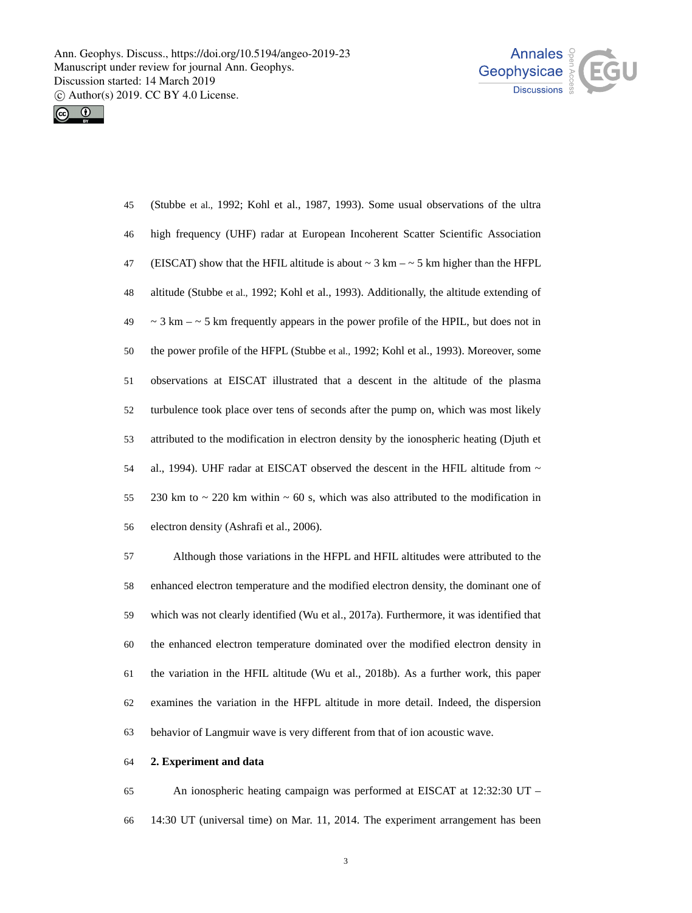



(Stubbe et al., 1992; Kohl et al., 1987, 1993). Some usual observations of the ultra high frequency (UHF) radar at European Incoherent Scatter Scientific Association (EISCAT) show that the HFIL altitude is about  $\sim$  3 km –  $\sim$  5 km higher than the HFPL altitude (Stubbe et al., 1992; Kohl et al., 1993). Additionally, the altitude extending of  $\sim$  3 km –  $\sim$  5 km frequently appears in the power profile of the HPIL, but does not in the power profile of the HFPL (Stubbe et al., 1992; Kohl et al., 1993). Moreover, some observations at EISCAT illustrated that a descent in the altitude of the plasma turbulence took place over tens of seconds after the pump on, which was most likely attributed to the modification in electron density by the ionospheric heating (Djuth et al., 1994). UHF radar at EISCAT observed the descent in the HFIL altitude from ~ 230 km to  $\sim$  220 km within  $\sim$  60 s, which was also attributed to the modification in electron density (Ashrafi et al., 2006). 45 46 47 48 49 50 51 52 53 54 55 56

57 58 59 60 61 62 63 Although those variations in the HFPL and HFIL altitudes were attributed to the enhanced electron temperature and the modified electron density, the dominant one of which was not clearly identified (Wu et al., 2017a). Furthermore, it was identified that the enhanced electron temperature dominated over the modified electron density in the variation in the HFIL altitude (Wu et al., 2018b). As a further work, this paper examines the variation in the HFPL altitude in more detail. Indeed, the dispersion behavior of Langmuir wave is very different from that of ion acoustic wave.

### 64 **2. Experiment and data**

65 66 An ionospheric heating campaign was performed at EISCAT at 12:32:30 UT – 14:30 UT (universal time) on Mar. 11, 2014. The experiment arrangement has been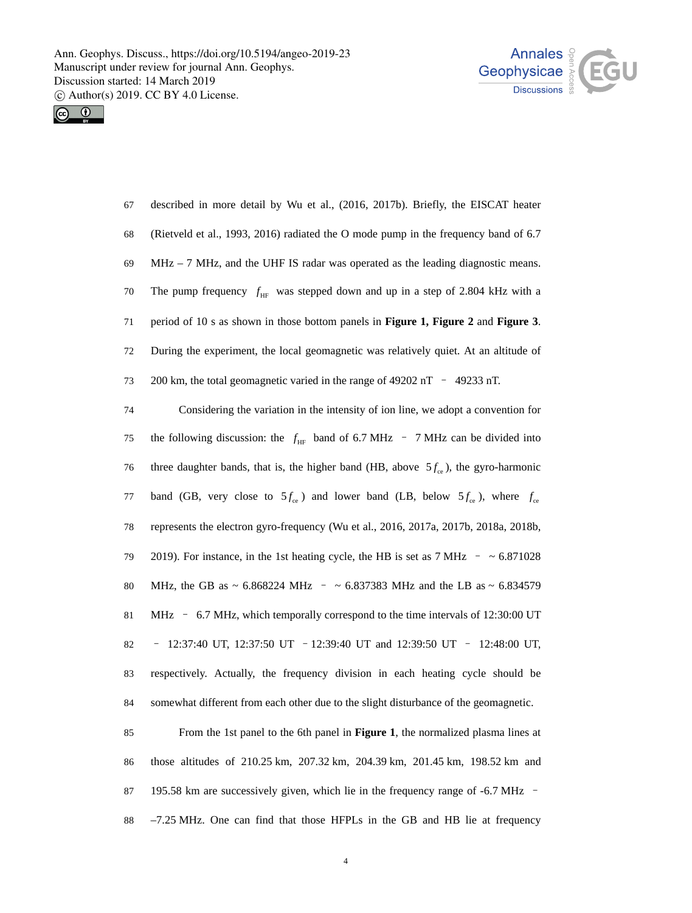



| 67 | described in more detail by Wu et al., (2016, 2017b). Briefly, the EISCAT heater     |
|----|--------------------------------------------------------------------------------------|
| 68 | (Rietveld et al., 1993, 2016) radiated the O mode pump in the frequency band of 6.7  |
| 69 | $MHz - 7 MHz$ , and the UHF IS radar was operated as the leading diagnostic means.   |
| 70 | The pump frequency $f_{HF}$ was stepped down and up in a step of 2.804 kHz with a    |
|    |                                                                                      |
| 71 | period of 10 s as shown in those bottom panels in Figure 1, Figure 2 and Figure 3.   |
| 72 | During the experiment, the local geomagnetic was relatively quiet. At an altitude of |
| 73 | 200 km, the total geomagnetic varied in the range of 49202 nT $-$ 49233 nT.          |

the following discussion: the  $f_{HF}$  band of 6.7 MHz – 7 MHz can be divided into three daughter bands, that is, the higher band (HB, above  $5f_{\rm ce}$ ), the gyro-harmonic 75 band (GB, very close to  $5f_{ce}$ ) and lower band (LB, below  $5f_{ce}$ ), where  $f_{ce}$ 76 represents the electron gyro-frequency (Wu et al., 2016, 2017a, 2017b, 2018a, 2018b, 2019). For instance, in the 1st heating cycle, the HB is set as  $7 \text{ MHz}$  -  $\sim 6.871028$ MHz, the GB as  $\sim 6.868224 \text{ MHz}$  -  $\sim 6.837383 \text{ MHz}$  and the LB as  $\sim 6.834579$ MHz – 6.7 MHz, which temporally correspond to the time intervals of 12:30:00 UT – 12:37:40 UT, 12:37:50 UT –12:39:40 UT and 12:39:50 UT – 12:48:00 UT, respectively. Actually, the frequency division in each heating cycle should be somewhat different from each other due to the slight disturbance of the geomagnetic. 77 78 79 80 81 82 83 84

85 86 87 88 From the 1st panel to the 6th panel in **Figure 1**, the normalized plasma lines at those altitudes of 210.25 km, 207.32 km, 204.39 km, 201.45 km, 198.52 km and 195.58 km are successively given, which lie in the frequency range of -6.7 MHz – –7.25 MHz. One can find that those HFPLs in the GB and HB lie at frequency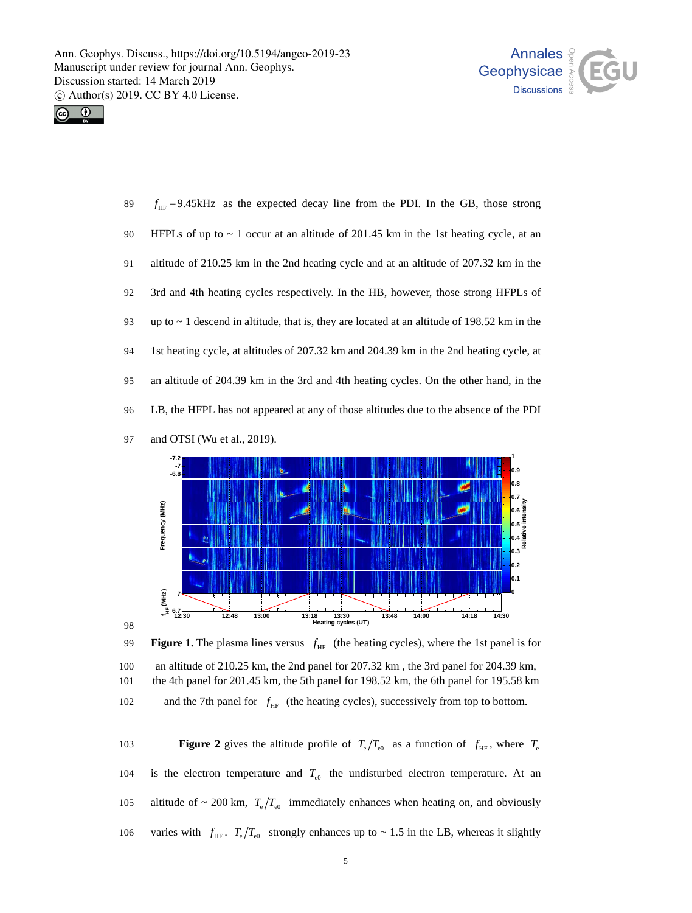



 $f_{HF}$  –9.45kHz as the expected decay line from the PDI. In the GB, those strong HFPLs of up to  $\sim$  1 occur at an altitude of 201.45 km in the 1st heating cycle, at an altitude of 210.25 km in the 2nd heating cycle and at an altitude of 207.32 km in the 3rd and 4th heating cycles respectively. In the HB, however, those strong HFPLs of up to  $\sim$  1 descend in altitude, that is, they are located at an altitude of 198.52 km in the 1st heating cycle, at altitudes of 207.32 km and 204.39 km in the 2nd heating cycle, at an altitude of 204.39 km in the 3rd and 4th heating cycles. On the other hand, in the LB, the HFPL has not appeared at any of those altitudes due to the absence of the PDI and OTSI (Wu et al., 2019). 89 90 91 92 93 94 95 96 97





**Figure 2** gives the altitude profile of  $T_e/T_{\text{e0}}$  as a function of  $f_{\text{HF}}$ , where  $T_e$ 104 is the electron temperature and  $T_{e0}$  the undisturbed electron temperature. At an altitude of  $\sim 200$  km,  $T_e/T_{e0}$  immediately enhances when heating on, and obviously 106 varies with  $f_{HF}$ .  $T_e/T_{e0}$  strongly enhances up to ~ 1.5 in the LB, whereas it slightly 105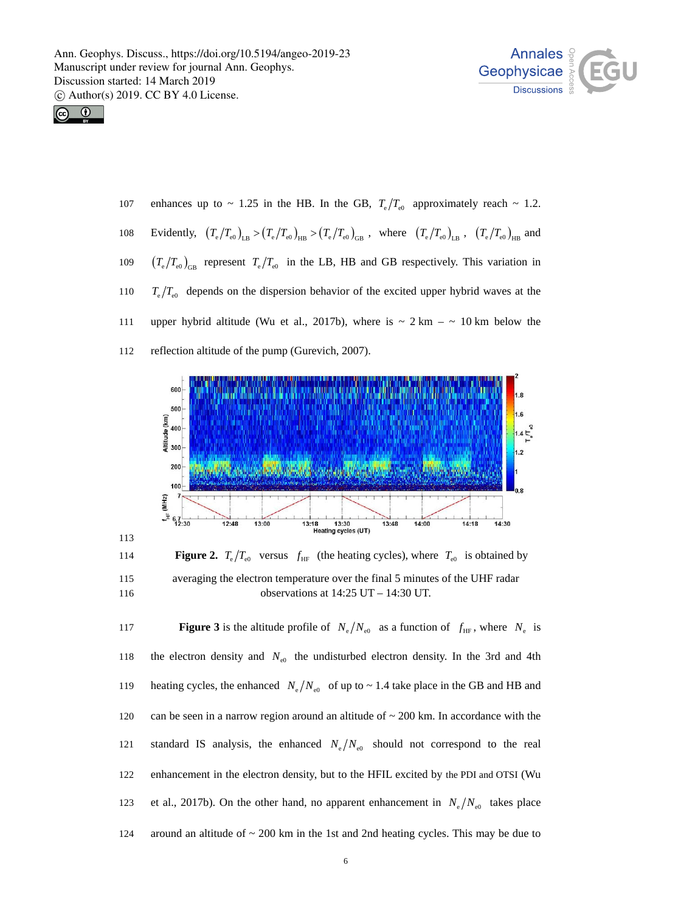



113

enhances up to ~ 1.25 in the HB. In the GB,  $T_e/T_{\rm e0}$  approximately reach ~ 1.2. 108 Evidently,  $(T_e/T_{e0})_{LB} > (T_e/T_{e0})_{HB} > (T_e/T_{e0})_{GB}$ , where  $(T_e/T_{e0})_{LB}$ ,  $(T_e/T_{e0})_{HB}$  and 107 109  $(T_e/T_{e0})_{GB}$  represent  $T_e/T_{e0}$  in the LB, HB and GB respectively. This variation in  $T_e/T_{e0}$  depends on the dispersion behavior of the excited upper hybrid waves at the upper hybrid altitude (Wu et al., 2017b), where is  $\sim 2 \text{ km} - \sim 10 \text{ km}$  below the reflection altitude of the pump (Gurevich, 2007). 110 111 112



**Figure 2.**  $T_e/T_{\text{e0}}$  versus  $f_{\text{HF}}$  (the heating cycles), where  $T_{\text{e0}}$  is obtained by averaging the electron temperature over the final 5 minutes of the UHF radar observations at 14:25 UT – 14:30 UT. 115 116

**117 Figure 3** is the altitude profile of  $N_e/N_{\rm e0}$  as a function of  $f_{\rm HF}$ , where  $N_e$  is 118 the electron density and  $N_{\text{e}0}$  the undisturbed electron density. In the 3rd and 4th heating cycles, the enhanced  $N_e/N_{e0}$  of up to  $\sim 1.4$  take place in the GB and HB and can be seen in a narrow region around an altitude of  $\sim$  200 km. In accordance with the standard IS analysis, the enhanced  $N_e/N_{\rm e0}$  should not correspond to the real 119 120 enhancement in the electron density, but to the HFIL excited by the PDI and OTSI (Wu et al., 2017b). On the other hand, no apparent enhancement in  $N_e/N_{\rm e0}$  takes place 121 122 around an altitude of  $\sim$  200 km in the 1st and 2nd heating cycles. This may be due to 123 124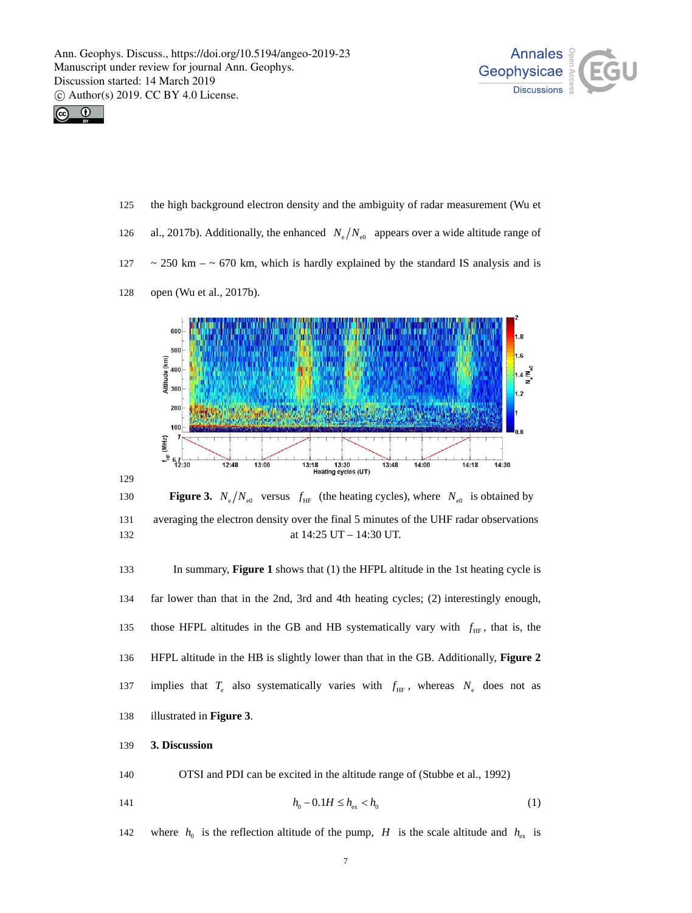



- the high background electron density and the ambiguity of radar measurement (Wu et 125
- 126 al., 2017b). Additionally, the enhanced  $N_e/N_{\rm e0}$  appears over a wide altitude range of
- 127  $\sim$  250 km –  $\sim$  670 km, which is hardly explained by the standard IS analysis and is



128 open (Wu et al., 2017b).

134 far lower than that in the 2nd, 3rd and 4th heating cycles; (2) interestingly enough, those HFPL altitudes in the GB and HB systematically vary with  $f_{HF}$ , that is, the HFPL altitude in the HB is slightly lower than that in the GB. Additionally, **Figure 2**  137 implies that  $T_e$  also systematically varies with  $f_{HF}$ , whereas  $N_e$  does not as 135 136 illustrated in **Figure 3**. 138

### 139 **3. Discussion**

140 OTSI and PDI can be excited in the altitude range of (Stubbe et al., 1992)

141 
$$
h_0 - 0.1H \le h_{ex} < h_0
$$
 (1)

142 where  $h_0$  is the reflection altitude of the pump, H is the scale altitude and  $h_{\rm ex}$  is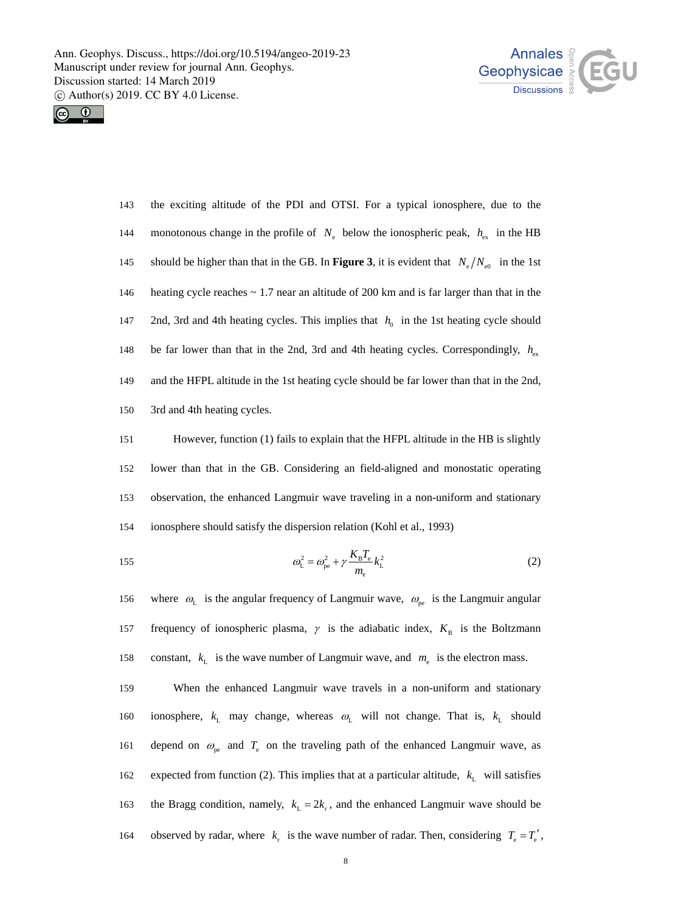



the exciting altitude of the PDI and OTSI. For a typical ionosphere, due to the 144 monotonous change in the profile of  $N_e$  below the ionospheric peak,  $h_{ex}$  in the HB 145 should be higher than that in the GB. In **Figure 3**, it is evident that  $N_e/N_{e0}$  in the 1st 143 146 147 148 149 150 heating cycle reaches  $\sim 1.7$  near an altitude of 200 km and is far larger than that in the 2nd, 3rd and 4th heating cycles. This implies that  $h_0$  in the 1st heating cycle should be far lower than that in the 2nd, 3rd and 4th heating cycles. Correspondingly,  $h_{ex}$ and the HFPL altitude in the 1st heating cycle should be far lower than that in the 2nd, 3rd and 4th heating cycles.

151 152 153 154 However, function (1) fails to explain that the HFPL altitude in the HB is slightly lower than that in the GB. Considering an field-aligned and monostatic operating observation, the enhanced Langmuir wave traveling in a non-uniform and stationary ionosphere should satisfy the dispersion relation (Kohl et al., 1993)

155 
$$
\omega_{\rm L}^2 = \omega_{\rm pe}^2 + \gamma \frac{K_{\rm B} T_{\rm e}}{m_{\rm e}} k_{\rm L}^2
$$
 (2)

where  $\omega_L$  is the angular frequency of Langmuir wave,  $\omega_{pe}$  is the Langmuir angular 157 frequency of ionospheric plasma,  $\gamma$  is the adiabatic index,  $K_B$  is the Boltzmann 156 constant,  $k_{\text{L}}$  is the wave number of Langmuir wave, and  $m_{\text{e}}$  is the electron mass. 158

159 When the enhanced Langmuir wave travels in a non-uniform and stationary 160 ionosphere,  $k_L$  may change, whereas  $\omega_L$  will not change. That is,  $k_L$  should 161 depend on  $\omega_{pe}$  and  $T_e$  on the traveling path of the enhanced Langmuir wave, as 162 expected from function (2). This implies that at a particular altitude,  $k<sub>L</sub>$  will satisfies the Bragg condition, namely,  $k_L = 2k_r$ , and the enhanced Langmuir wave should be 164 observed by radar, where  $k_r$  is the wave number of radar. Then, considering  $T_e = T_e'$ , 163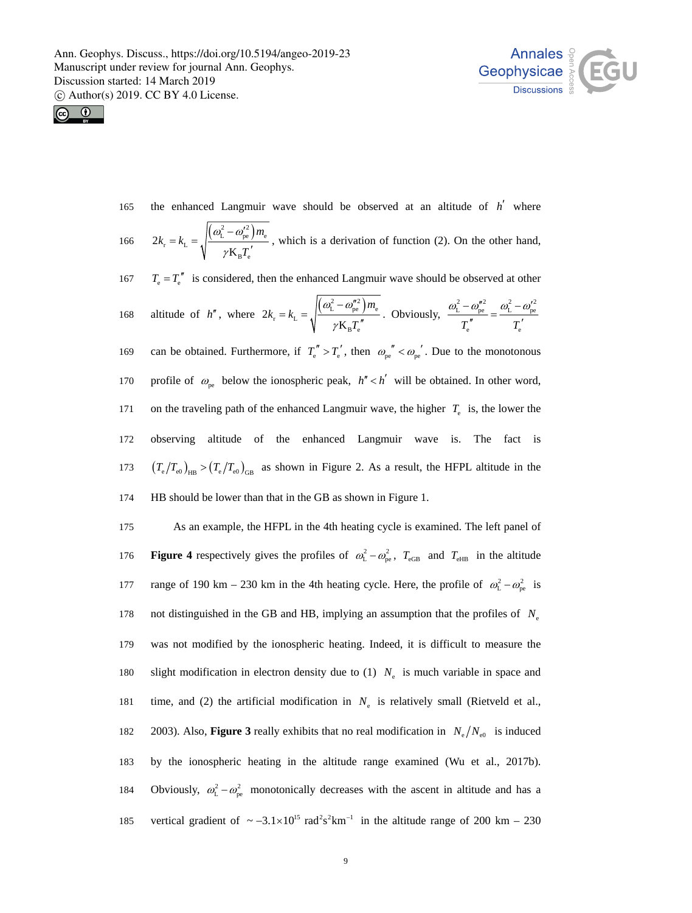



the enhanced Langmuir wave should be observed at an altitude of  $h'$  where  $(\omega_{\rm L}^2-\omega_{\rm pe}'^2)m$ 

166 
$$
2k_{\rm r} = k_{\rm L} = \sqrt{\frac{(\omega_{\rm L}^2 - \omega_{\rm pe}^{\prime 2})m_{\rm e}}{\gamma \mathbf{K}_{\rm B} T_{\rm e}^{\prime}}},
$$
 which is a derivation of function (2). On the other hand,

 $T_e = T_e''$  is considered, then the enhanced Langmuir wave should be observed at other 167

168 altitude of 
$$
h''
$$
, where  $2k_r = k_L = \sqrt{\frac{(\omega_L^2 - \omega_{pe}^{n_2})m_e}{\gamma K_B T_e^{\prime\prime}}}$ . Obviously,  $\frac{\omega_L^2 - \omega_{pe}^{n_2}}{T_e^{\prime\prime}} = \frac{\omega_L^2 - \omega_{pe}^{n_2}}{T_e^{\prime\prime}}$ 

169 can be obtained. Furthermore, if  $T_e^{"} > T_e^{'}$ , then  $\omega_{pe}^{''} < \omega_{pe}^{'}$ . Due to the monotonous profile of  $\omega_{\rm{ne}}$  below the ionospheric peak,  $h'' < h'$  will be obtained. In other word, on the traveling path of the enhanced Langmuir wave, the higher  $T_e$  is, the lower the observing altitude of the enhanced Langmuir wave is. The fact is 170 171 172  $(T_e/T_{e0})_{HB}$  >  $(T_e/T_{e0})_{GB}$  as shown in Figure 2. As a result, the HFPL altitude in the HB should be lower than that in the GB as shown in Figure 1. 173 174

175 As an example, the HFPL in the 4th heating cycle is examined. The left panel of 176 **Figure 4** respectively gives the profiles of  $\omega_L^2 - \omega_{pe}^2$ ,  $T_{eGB}$  and  $T_{eHB}$  in the altitude range of 190 km – 230 km in the 4th heating cycle. Here, the profile of  $\omega_L^2 - \omega_{pe}^2$  is not distinguished in the GB and HB, implying an assumption that the profiles of *N*e was not modified by the ionospheric heating. Indeed, it is difficult to measure the slight modification in electron density due to  $(1)$   $N_e$  is much variable in space and time, and (2) the artificial modification in  $N_e$  is relatively small (Rietveld et al., 2003). Also, **Figure 3** really exhibits that no real modification in  $N_e/N_{e0}$  is induced 177 178 179 180 181 by the ionospheric heating in the altitude range examined (Wu et al., 2017b). Obviously,  $\omega_L^2 - \omega_{pe}^2$  monotonically decreases with the ascent in altitude and has a 182 183 185 vertical gradient of  $\sim -3.1 \times 10^{15}$  rad<sup>2</sup>s<sup>2</sup>km<sup>-1</sup> in the altitude range of 200 km – 230 184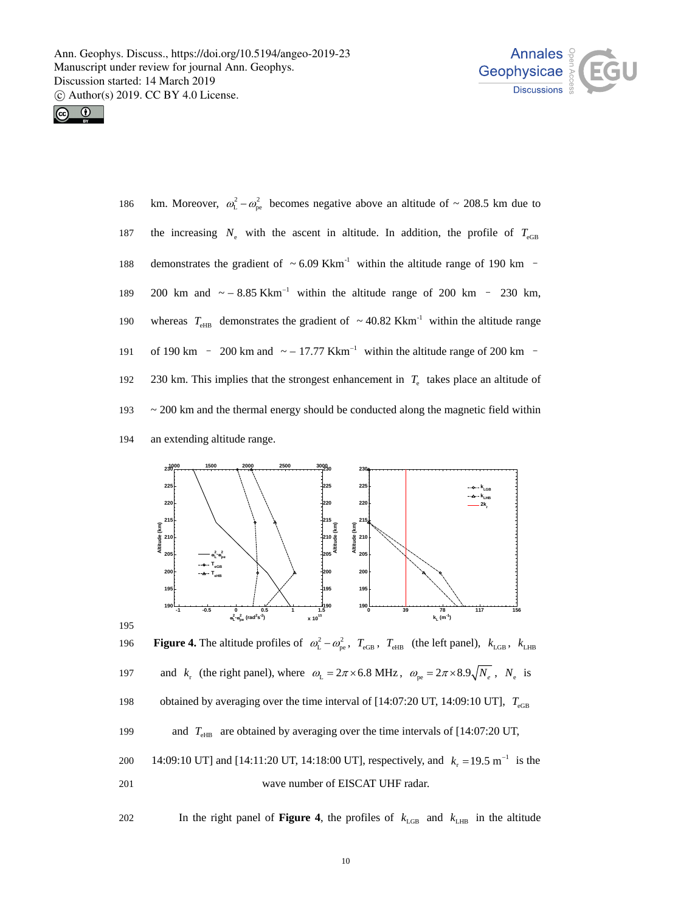



195

km. Moreover,  $\omega_{\rm L}^2 - \omega_{\rm pe}^2$  becomes negative above an altitude of  $\sim 208.5$  km due to the increasing  $N_e$  with the ascent in altitude. In addition, the profile of  $T_{eGB}$ 200 km and  $\sim$  - 8.85 Kkm<sup>-1</sup> within the altitude range of 200 km - 230 km, demonstrates the gradient of  $\sim 6.09 \text{ Kkm}^{-1}$  within the altitude range of 190 km – whereas  $T_{\text{eHB}}$  demonstrates the gradient of  $\sim 40.82 \text{ Kkm}^{-1}$  within the altitude range of 190 km  $\sim$  200 km and  $\sim$  - 17.77 Kkm<sup>-1</sup> within the altitude range of 200 km  $\sim$ 186 187 188 189 190 230 km. This implies that the strongest enhancement in  $T_e$  takes place an altitude of  $\sim$  200 km and the thermal energy should be conducted along the magnetic field within an extending altitude range. 191 192 193 194



196 **Figure 4.** The altitude profiles of  $\omega_{\rm L}^2 - \omega_{\rm pe}^2$ ,  $T_{\rm eGB}$ ,  $T_{\rm eHB}$  (the left panel),  $k_{\rm LGB}$ ,  $k_{\rm LHB}$ 197 and  $k_r$  (the right panel), where  $\omega_L = 2\pi \times 6.8 \text{ MHz}$ ,  $\omega_{\text{pe}} = 2\pi \times 8.9 \sqrt{N_e}$ ,  $N_e$  is 198 199 200 14:09:10 UT] and [14:11:20 UT, 14:18:00 UT], respectively, and  $k_r = 19.5 \text{ m}^{-1}$  is the 201 wave number of EISCAT UHF radar. obtained by averaging over the time interval of  $[14:07:20 \text{ UT}, 14:09:10 \text{ UT}]$ ,  $T_{\text{eGB}}$ and  $T_{\text{eHB}}$  are obtained by averaging over the time intervals of [14:07:20 UT,

202 In the right panel of **Figure 4**, the profiles of  $k_{\text{LGB}}$  and  $k_{\text{LHB}}$  in the altitude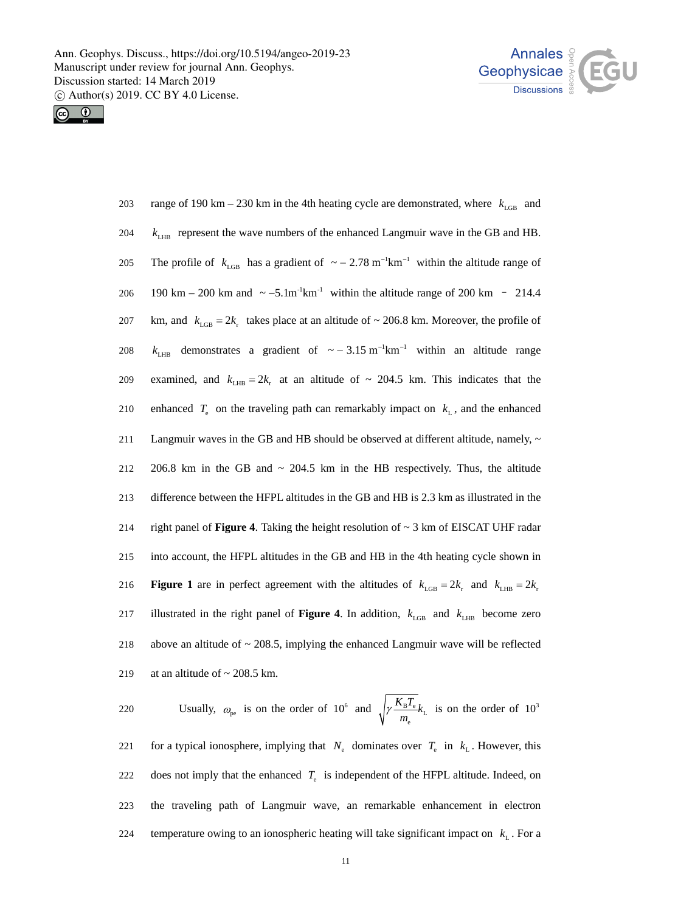



| $203\,$ | range of 190 km – 230 km in the 4th heating cycle are demonstrated, where $k_{\text{LGB}}$ and                                |
|---------|-------------------------------------------------------------------------------------------------------------------------------|
| 204     | $k_{LHB}$ represent the wave numbers of the enhanced Langmuir wave in the GB and HB.                                          |
| 205     | The profile of $k_{\text{LGB}}$ has a gradient of $\sim$ - 2.78 m <sup>-1</sup> km <sup>-1</sup> within the altitude range of |
| 206     | 190 km – 200 km and $\sim -5.1$ m <sup>-1</sup> km <sup>-1</sup> within the altitude range of 200 km – 214.4                  |
| 207     | km, and $k_{\text{LSB}} = 2k_r$ takes place at an altitude of ~ 206.8 km. Moreover, the profile of                            |
| 208     | demonstrates a gradient of $\sim$ - 3.15 m <sup>-1</sup> km <sup>-1</sup> within an altitude range<br>$k_{\text{LHR}}$        |
| 209     | examined, and $k_{LHB} = 2k_r$ at an altitude of ~ 204.5 km. This indicates that the                                          |
| 210     | enhanced $T_e$ on the traveling path can remarkably impact on $k_L$ , and the enhanced                                        |
| 211     | Langmuir waves in the GB and HB should be observed at different altitude, namely, ~                                           |
| $212\,$ | 206.8 km in the GB and $\sim$ 204.5 km in the HB respectively. Thus, the altitude                                             |
| 213     | difference between the HFPL altitudes in the GB and HB is 2.3 km as illustrated in the                                        |
| 214     | right panel of <b>Figure 4</b> . Taking the height resolution of $\sim$ 3 km of EISCAT UHF radar                              |
| 215     | into account, the HFPL altitudes in the GB and HB in the 4th heating cycle shown in                                           |
| 216     | <b>Figure 1</b> are in perfect agreement with the altitudes of $k_{\text{LGB}} = 2k_r$ and $k_{\text{LHB}} = 2k_r$            |
| 217     | illustrated in the right panel of <b>Figure 4</b> . In addition, $k_{\text{LGB}}$ and $k_{\text{LHB}}$ become zero            |
| 218     | above an altitude of $\sim$ 208.5, implying the enhanced Langmuir wave will be reflected                                      |
| 219     | at an altitude of $\sim$ 208.5 km.                                                                                            |

Usually,  $\omega_{\text{ne}}$  is on the order of 10<sup>6</sup> and  $\sqrt{\gamma} \frac{K_{\text{B}} I_{\text{e}}}{\gamma}$ e  $K_{\rm R}T$ 220 Usually,  $\omega_{\rm pe}$  is on the order of 10<sup>6</sup> and  $\sqrt{\gamma} \frac{R_{\rm B} t_{\rm e}}{m_{\rm e}} k_{\rm L}$  is on the order of 10<sup>3</sup> for a typical ionosphere, implying that  $N_e$  dominates over  $T_e$  in  $k_L$ . However, this does not imply that the enhanced  $T<sub>e</sub>$  is independent of the HFPL altitude. Indeed, on the traveling path of Langmuir wave, an remarkable enhancement in electron temperature owing to an ionospheric heating will take significant impact on  $k<sub>L</sub>$ . For a 221 222 223 224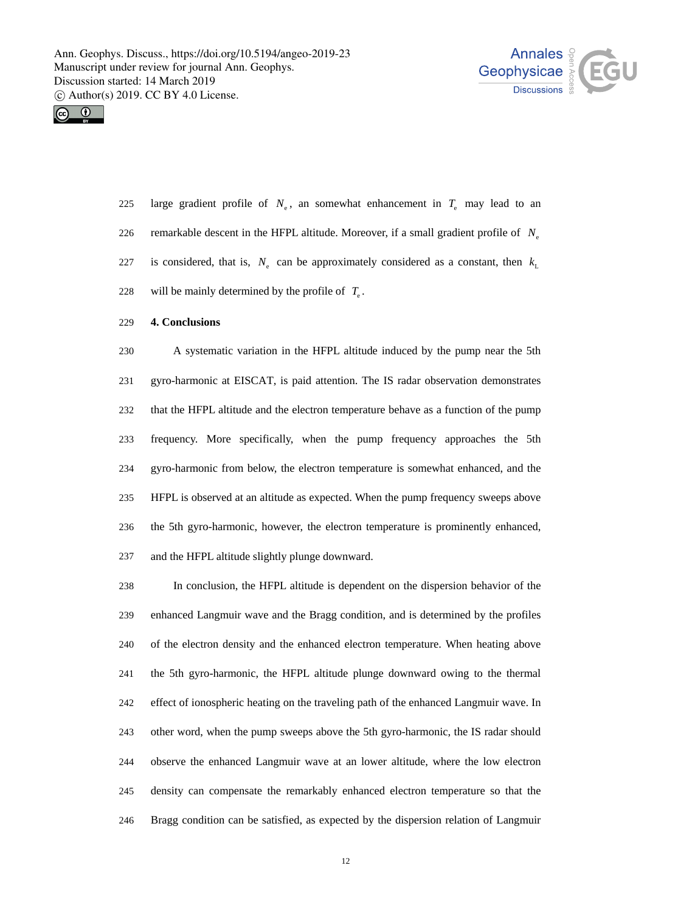



- 225 large gradient profile of  $N_e$ , an somewhat enhancement in  $T_e$  may lead to an remarkable descent in the HFPL altitude. Moreover, if a small gradient profile of *N*e is considered, that is,  $N_e$  can be approximately considered as a constant, then  $k_1$ will be mainly determined by the profile of  $T_e$ . 226 227 228
- 229 **4. Conclusions**

230 231 232 233 234 235 236 237 A systematic variation in the HFPL altitude induced by the pump near the 5th gyro-harmonic at EISCAT, is paid attention. The IS radar observation demonstrates that the HFPL altitude and the electron temperature behave as a function of the pump frequency. More specifically, when the pump frequency approaches the 5th gyro-harmonic from below, the electron temperature is somewhat enhanced, and the HFPL is observed at an altitude as expected. When the pump frequency sweeps above the 5th gyro-harmonic, however, the electron temperature is prominently enhanced, and the HFPL altitude slightly plunge downward.

238 239 240 241 242 243 244 245 246 In conclusion, the HFPL altitude is dependent on the dispersion behavior of the enhanced Langmuir wave and the Bragg condition, and is determined by the profiles of the electron density and the enhanced electron temperature. When heating above the 5th gyro-harmonic, the HFPL altitude plunge downward owing to the thermal effect of ionospheric heating on the traveling path of the enhanced Langmuir wave. In other word, when the pump sweeps above the 5th gyro-harmonic, the IS radar should observe the enhanced Langmuir wave at an lower altitude, where the low electron density can compensate the remarkably enhanced electron temperature so that the Bragg condition can be satisfied, as expected by the dispersion relation of Langmuir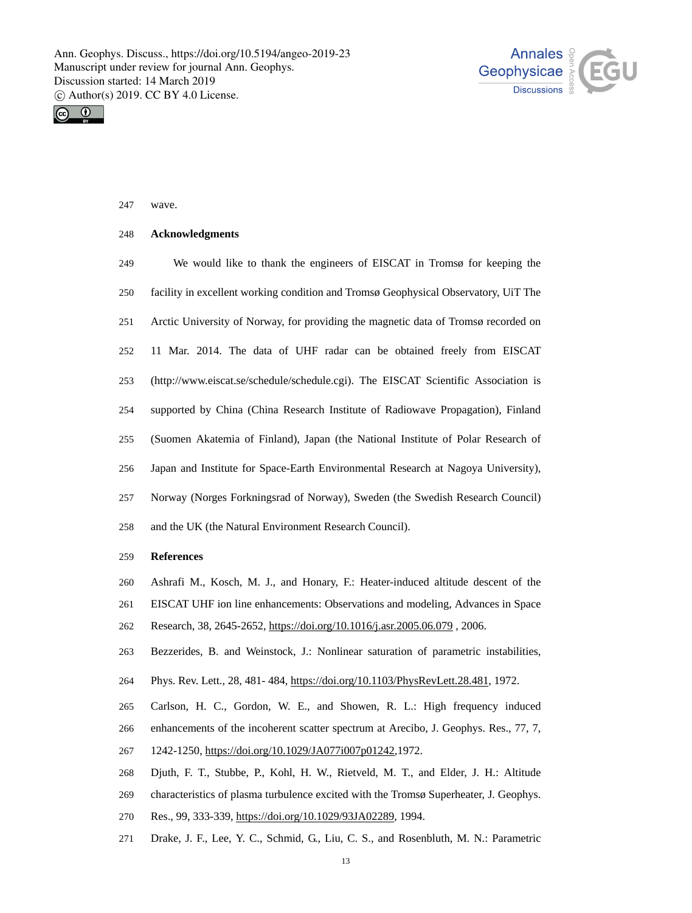



## 247 wave.

### 248 **Acknowledgments**

249 250 251 252 253 254 255 256 257 258 We would like to thank the engineers of EISCAT in Tromsø for keeping the facility in excellent working condition and Tromsø Geophysical Observatory, UiT The Arctic University of Norway, for providing the magnetic data of Tromsø recorded on 11 Mar. 2014. The data of UHF radar can be obtained freely from EISCAT (http://www.eiscat.se/schedule/schedule.cgi). The EISCAT Scientific Association is supported by China (China Research Institute of Radiowave Propagation), Finland (Suomen Akatemia of Finland), Japan (the National Institute of Polar Research of Japan and Institute for Space-Earth Environmental Research at Nagoya University), Norway (Norges Forkningsrad of Norway), Sweden (the Swedish Research Council) and the UK (the Natural Environment Research Council).

#### 259 **References**

- 260 Ashrafi M., Kosch, M. J., and Honary, F.: Heater-induced altitude descent of the
- 261 EISCAT UHF ion line enhancements: Observations and modeling, Advances in Space
- 262 Research, 38, 2645-2652, https://doi.org/10.1016/j.asr.2005.06.079 , 2006.
- 263 Bezzerides, B. and Weinstock, J.: Nonlinear saturation of parametric instabilities,
- 264 Phys. Rev. Lett., 28, 481- 484, https://doi.org/10.1103/PhysRevLett.28.481, 1972.
- 265 266 Carlson, H. C., Gordon, W. E., and Showen, R. L.: High frequency induced enhancements of the incoherent scatter spectrum at Arecibo, J. Geophys. Res., 77, 7, 267 1242-1250, https://doi.org/10.1029/JA077i007p01242,1972.
- 268 Djuth, F. T., Stubbe, P., Kohl, H. W., Rietveld, M. T., and Elder, J. H.: Altitude
- 269 characteristics of plasma turbulence excited with the Tromsø Superheater, J. Geophys.
- 270 Res., 99, 333-339, https://doi.org/10.1029/93JA02289, 1994.
- 271 Drake, J. F., Lee, Y. C., Schmid, G., Liu, C. S., and Rosenbluth, M. N.: Parametric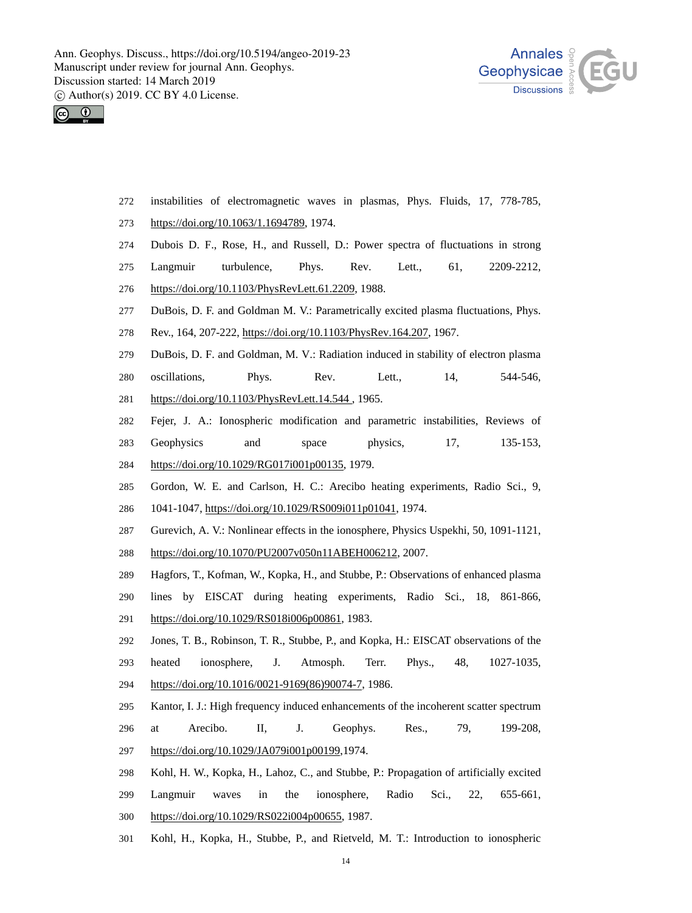



- 272 instabilities of electromagnetic waves in plasmas, Phys. Fluids, 17, 778-785,
- 273 https://doi.org/10.1063/1.1694789, 1974.
- 274 Dubois D. F., Rose, H., and Russell, D.: Power spectra of fluctuations in strong
- 275 Langmuir turbulence, Phys. Rev. Lett., 61, 2209-2212,
- 276 https://doi.org/10.1103/PhysRevLett.61.2209, 1988.
- 277 DuBois, D. F. and Goldman M. V.: Parametrically excited plasma fluctuations, Phys.
- 278 Rev., 164, 207-222, https://doi.org/10.1103/PhysRev.164.207, 1967.
- 279 DuBois, D. F. and Goldman, M. V.: Radiation induced in stability of electron plasma
- 280 oscillations, Phys. Rev. Lett., 14, 544-546,
- 281 https://doi.org/10.1103/PhysRevLett.14.544 , 1965.
- 282 Fejer, J. A.: Ionospheric modification and parametric instabilities, Reviews of
- 283 Geophysics and space physics, 17, 135-153,
- 284 https://doi.org/10.1029/RG017i001p00135, 1979.
- 285 Gordon, W. E. and Carlson, H. C.: Arecibo heating experiments, Radio Sci., 9, 286 1041-1047, https://doi.org/10.1029/RS009i011p01041, 1974.
- 287 Gurevich, A. V.: Nonlinear effects in the ionosphere, Physics Uspekhi, 50, 1091-1121,
- 288 https://doi.org/10.1070/PU2007v050n11ABEH006212, 2007.
- 289 Hagfors, T., Kofman, W., Kopka, H., and Stubbe, P.: Observations of enhanced plasma
- 290 lines by EISCAT during heating experiments, Radio Sci., 18, 861-866, 291 https://doi.org/10.1029/RS018i006p00861, 1983.
- 292 293 Jones, T. B., Robinson, T. R., Stubbe, P., and Kopka, H.: EISCAT observations of the heated ionosphere, J. Atmosph. Terr. Phys., 48, 1027-1035, 294 https://doi.org/10.1016/0021-9169(86)90074-7, 1986.
- 295 Kantor, I. J.: High frequency induced enhancements of the incoherent scatter spectrum
- 296 at Arecibo. II, J. Geophys. Res., 79, 199-208,
- 297 https://doi.org/10.1029/JA079i001p00199,1974.
- 298 Kohl, H. W., Kopka, H., Lahoz, C., and Stubbe, P.: Propagation of artificially excited
- 299 Langmuir waves in the ionosphere, Radio Sci., 22, 655-661, 300 https://doi.org/10.1029/RS022i004p00655, 1987.
- 301 Kohl, H., Kopka, H., Stubbe, P., and Rietveld, M. T.: Introduction to ionospheric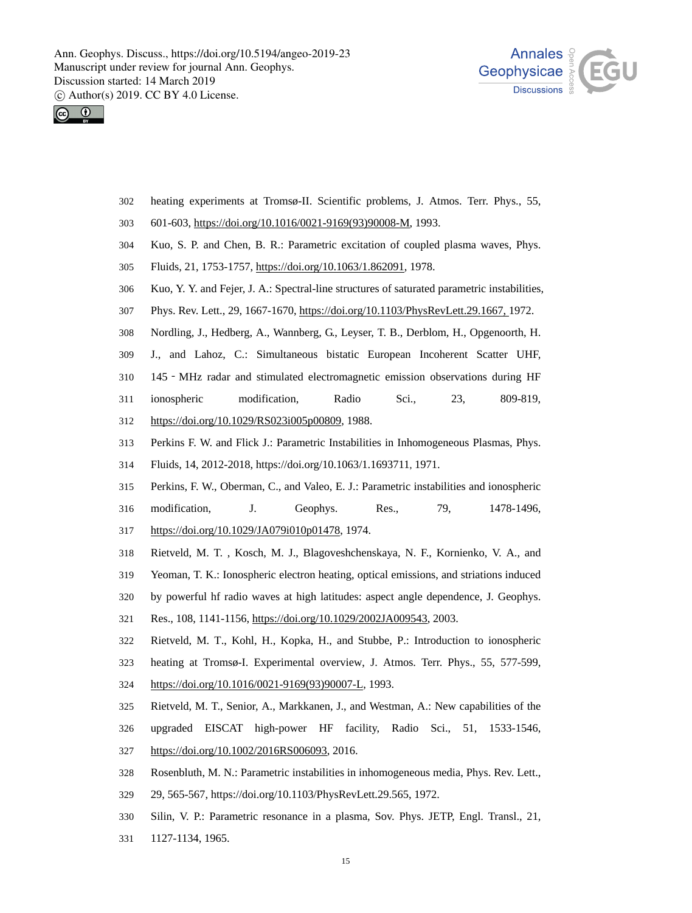



- heating experiments at Tromsø-II. Scientific problems, J. Atmos. Terr. Phys., 55, 302
- 303 601-603, https://doi.org/10.1016/0021-9169(93)90008-M, 1993.
- 304 Kuo, S. P. and Chen, B. R.: Parametric excitation of coupled plasma waves, Phys.
- 305 Fluids, 21, 1753-1757, https://doi.org/10.1063/1.862091, 1978.
- 306 Kuo, Y. Y. and Fejer, J. A.: Spectral-line structures of saturated parametric instabilities,
- 307 Phys. Rev. Lett., 29, 1667-1670, https://doi.org/10.1103/PhysRevLett.29.1667, 1972.
- 308 Nordling, J., Hedberg, A., Wannberg, G., Leyser, T. B., Derblom, H., Opgenoorth, H.
- 309 J., and Lahoz, C.: Simultaneous bistatic European Incoherent Scatter UHF,
- 310 145‐MHz radar and stimulated electromagnetic emission observations during HF
- 311 ionospheric modification, Radio Sci., 23, 809-819,
- 312 https://doi.org/10.1029/RS023i005p00809, 1988.
- 313 Perkins F. W. and Flick J.: Parametric Instabilities in Inhomogeneous Plasmas, Phys.
- 314 Fluids, 14, 2012-2018, https://doi.org/10.1063/1.1693711, 1971.
- 315 Perkins, F. W., Oberman, C., and Valeo, E. J.: Parametric instabilities and ionospheric
- 316 modification, J. Geophys. Res., 79, 1478-1496, 317 https://doi.org/10.1029/JA079i010p01478, 1974.
- 318 Rietveld, M. T. , Kosch, M. J., Blagoveshchenskaya, N. F., Kornienko, V. A., and
- 319 Yeoman, T. K.: Ionospheric electron heating, optical emissions, and striations induced
- 320 by powerful hf radio waves at high latitudes: aspect angle dependence, J. Geophys.
- 321 Res., 108, 1141-1156, https://doi.org/10.1029/2002JA009543, 2003.
- 322 Rietveld, M. T., Kohl, H., Kopka, H., and Stubbe, P.: Introduction to ionospheric
- 323 heating at Tromsø-I. Experimental overview, J. Atmos. Terr. Phys., 55, 577-599,
- 324 https://doi.org/10.1016/0021-9169(93)90007-L, 1993.
- 325 Rietveld, M. T., Senior, A., Markkanen, J., and Westman, A.: New capabilities of the
- 326 upgraded EISCAT high-power HF facility, Radio Sci., 51, 1533-1546,
- 327 https://doi.org/10.1002/2016RS006093, 2016.
- 328 Rosenbluth, M. N.: Parametric instabilities in inhomogeneous media, Phys. Rev. Lett.,
- 329 29, 565-567, https://doi.org/10.1103/PhysRevLett.29.565, 1972.
- 330 Silin, V. P.: Parametric resonance in a plasma, Sov. Phys. JETP, Engl. Transl., 21,
- 331 1127-1134, 1965.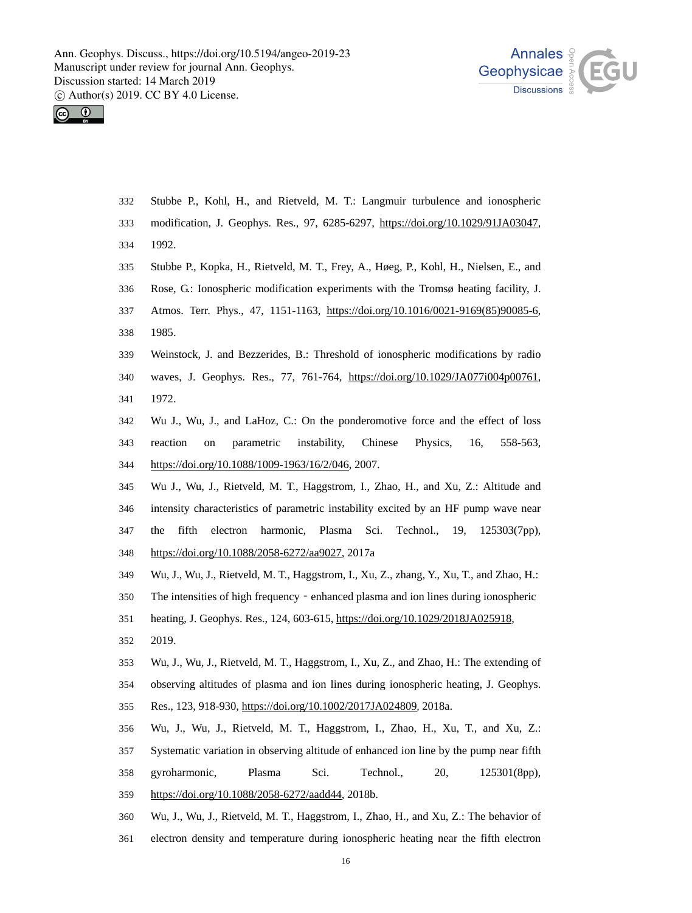



- Stubbe P., Kohl, H., and Rietveld, M. T.: Langmuir turbulence and ionospheric 332
- modification, J. Geophys. Res., 97, 6285-6297, https://doi.org/10.1029/91JA03047, 333
- 1992. 334
- 335 Stubbe P., Kopka, H., Rietveld, M. T., Frey, A., Høeg, P., Kohl, H., Nielsen, E., and
- 336 Rose, G.: Ionospheric modification experiments with the Tromsø heating facility, J.
- Atmos. Terr. Phys., 47, 1151-1163, https://doi.org/10.1016/0021-9169(85)90085-6, 1985. 337 338
- 339 Weinstock, J. and Bezzerides, B.: Threshold of ionospheric modifications by radio
- waves, J. Geophys. Res., 77, 761-764, https://doi.org/10.1029/JA077i004p00761, 1972. 340 341
- 342 343 Wu J., Wu, J., and LaHoz, C.: On the ponderomotive force and the effect of loss reaction on parametric instability, Chinese Physics, 16, 558-563, 344 https://doi.org/10.1088/1009-1963/16/2/046, 2007.
- 345 346 347 Wu J., Wu, J., Rietveld, M. T., Haggstrom, I., Zhao, H., and Xu, Z.: Altitude and intensity characteristics of parametric instability excited by an HF pump wave near the fifth electron harmonic, Plasma Sci. Technol., 19, 125303(7pp), 348 https://doi.org/10.1088/2058-6272/aa9027, 2017a
- 349 Wu, J., Wu, J., Rietveld, M. T., Haggstrom, I., Xu, Z., zhang, Y., Xu, T., and Zhao, H.:
- 350 The intensities of high frequency - enhanced plasma and ion lines during ionospheric
- heating, J. Geophys. Res., 124, 603-615, https://doi.org/10.1029/2018JA025918, 351
- 2019. 352
- 353 Wu, J., Wu, J., Rietveld, M. T., Haggstrom, I., Xu, Z., and Zhao, H.: The extending of
- 354 observing altitudes of plasma and ion lines during ionospheric heating, J. Geophys.
- 355 Res., 123, 918-930, https://doi.org/10.1002/2017JA024809, 2018a.
- 356 Wu, J., Wu, J., Rietveld, M. T., Haggstrom, I., Zhao, H., Xu, T., and Xu, Z.:
- 357 Systematic variation in observing altitude of enhanced ion line by the pump near fifth
- 358 gyroharmonic, Plasma Sci. Technol., 20, 125301(8pp),
- 359 https://doi.org/10.1088/2058-6272/aadd44, 2018b.
- 360 Wu, J., Wu, J., Rietveld, M. T., Haggstrom, I., Zhao, H., and Xu, Z.: The behavior of
- 361 electron density and temperature during ionospheric heating near the fifth electron